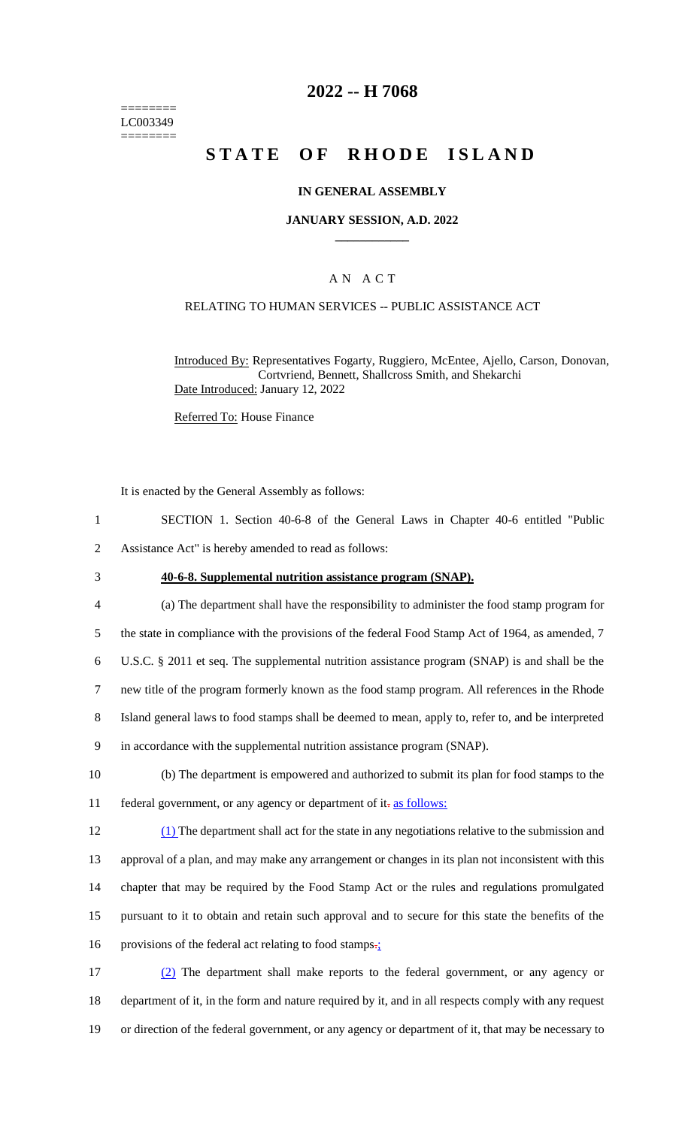======== LC003349 ========

## **2022 -- H 7068**

# **STATE OF RHODE ISLAND**

### **IN GENERAL ASSEMBLY**

#### **JANUARY SESSION, A.D. 2022 \_\_\_\_\_\_\_\_\_\_\_\_**

### A N A C T

#### RELATING TO HUMAN SERVICES -- PUBLIC ASSISTANCE ACT

Introduced By: Representatives Fogarty, Ruggiero, McEntee, Ajello, Carson, Donovan, Cortvriend, Bennett, Shallcross Smith, and Shekarchi Date Introduced: January 12, 2022

Referred To: House Finance

It is enacted by the General Assembly as follows:

- 1 SECTION 1. Section 40-6-8 of the General Laws in Chapter 40-6 entitled "Public 2 Assistance Act" is hereby amended to read as follows:
- 

#### 3 **40-6-8. Supplemental nutrition assistance program (SNAP).**

- 4 (a) The department shall have the responsibility to administer the food stamp program for 5 the state in compliance with the provisions of the federal Food Stamp Act of 1964, as amended, 7
- 6 U.S.C. § 2011 et seq. The supplemental nutrition assistance program (SNAP) is and shall be the
- 7 new title of the program formerly known as the food stamp program. All references in the Rhode
- 8 Island general laws to food stamps shall be deemed to mean, apply to, refer to, and be interpreted
- 9 in accordance with the supplemental nutrition assistance program (SNAP).
- 10 (b) The department is empowered and authorized to submit its plan for food stamps to the 11 federal government, or any agency or department of it-as follows:
- 12 (1) The department shall act for the state in any negotiations relative to the submission and 13 approval of a plan, and may make any arrangement or changes in its plan not inconsistent with this 14 chapter that may be required by the Food Stamp Act or the rules and regulations promulgated 15 pursuant to it to obtain and retain such approval and to secure for this state the benefits of the 16 provisions of the federal act relating to food stamps.
- 17 (2) The department shall make reports to the federal government, or any agency or 18 department of it, in the form and nature required by it, and in all respects comply with any request 19 or direction of the federal government, or any agency or department of it, that may be necessary to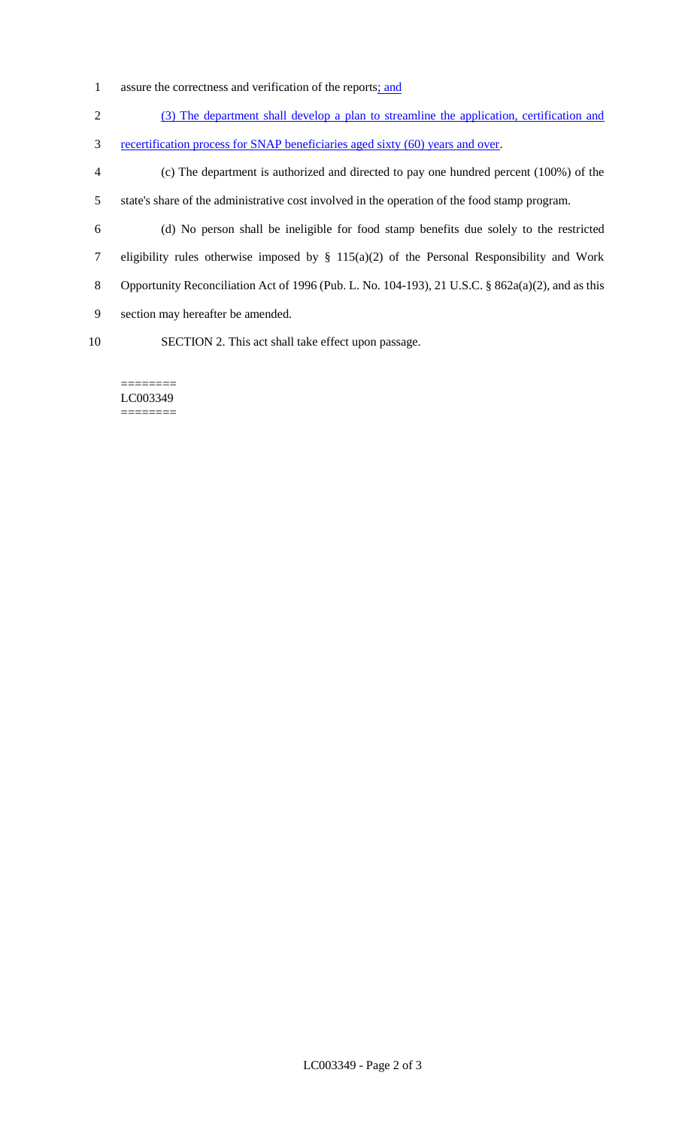- 1 assure the correctness and verification of the reports<u>; and</u>
- 2 (3) The department shall develop a plan to streamline the application, certification and
- 3 recertification process for SNAP beneficiaries aged sixty (60) years and over.
- 4 (c) The department is authorized and directed to pay one hundred percent (100%) of the 5 state's share of the administrative cost involved in the operation of the food stamp program.
- 
- 6 (d) No person shall be ineligible for food stamp benefits due solely to the restricted 7 eligibility rules otherwise imposed by § 115(a)(2) of the Personal Responsibility and Work 8 Opportunity Reconciliation Act of 1996 (Pub. L. No. 104-193), 21 U.S.C. § 862a(a)(2), and as this
- 9 section may hereafter be amended.
- 
- 10 SECTION 2. This act shall take effect upon passage.

======== LC003349 ========